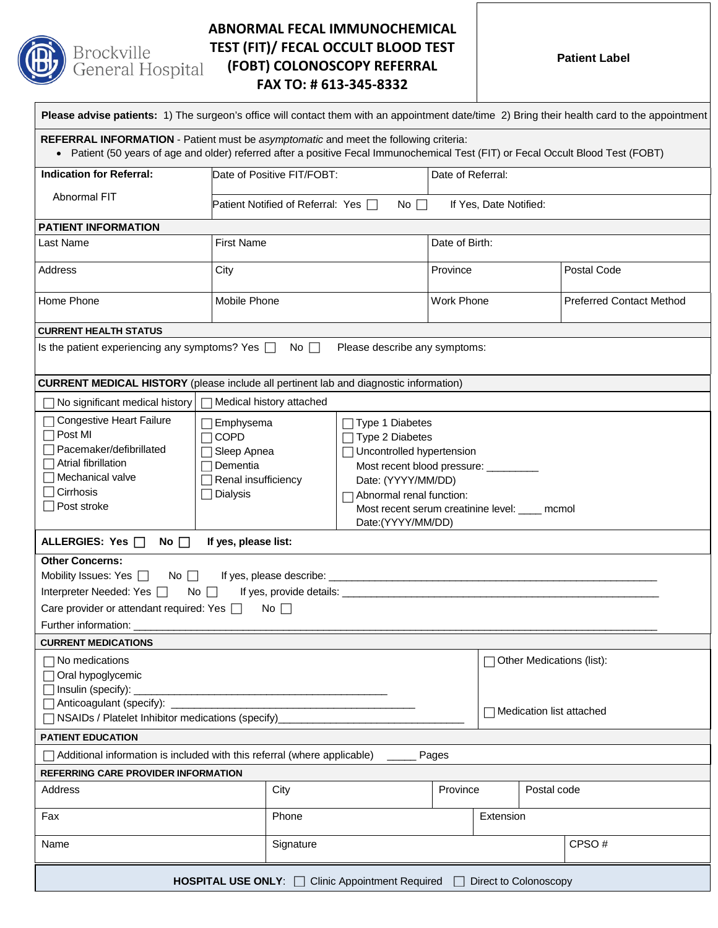

# **ABNORMAL FECAL IMMUNOCHEMICAL TEST (FIT)/ FECAL OCCULT BLOOD TEST (FOBT) COLONOSCOPY REFERRAL FAX TO: # 613-345-8332**

**Patient Label**

| Please advise patients: 1) The surgeon's office will contact them with an appointment date/time 2) Bring their health card to the appointment                                                                                                                                                                                                                                                                                                                                                                                                                                                                                                                                                                                                                                                                                                                                                        |              |                                          |           |                          |                   |  |                                 |  |
|------------------------------------------------------------------------------------------------------------------------------------------------------------------------------------------------------------------------------------------------------------------------------------------------------------------------------------------------------------------------------------------------------------------------------------------------------------------------------------------------------------------------------------------------------------------------------------------------------------------------------------------------------------------------------------------------------------------------------------------------------------------------------------------------------------------------------------------------------------------------------------------------------|--------------|------------------------------------------|-----------|--------------------------|-------------------|--|---------------------------------|--|
| REFERRAL INFORMATION - Patient must be asymptomatic and meet the following criteria:<br>. Patient (50 years of age and older) referred after a positive Fecal Immunochemical Test (FIT) or Fecal Occult Blood Test (FOBT)                                                                                                                                                                                                                                                                                                                                                                                                                                                                                                                                                                                                                                                                            |              |                                          |           |                          |                   |  |                                 |  |
| <b>Indication for Referral:</b>                                                                                                                                                                                                                                                                                                                                                                                                                                                                                                                                                                                                                                                                                                                                                                                                                                                                      |              | Date of Positive FIT/FOBT:               |           |                          | Date of Referral: |  |                                 |  |
| Abnormal FIT                                                                                                                                                                                                                                                                                                                                                                                                                                                                                                                                                                                                                                                                                                                                                                                                                                                                                         |              | Patient Notified of Referral: Yes $\Box$ | No $\Box$ | If Yes, Date Notified:   |                   |  |                                 |  |
| <b>PATIENT INFORMATION</b>                                                                                                                                                                                                                                                                                                                                                                                                                                                                                                                                                                                                                                                                                                                                                                                                                                                                           |              |                                          |           |                          |                   |  |                                 |  |
| Last Name                                                                                                                                                                                                                                                                                                                                                                                                                                                                                                                                                                                                                                                                                                                                                                                                                                                                                            |              | <b>First Name</b>                        |           |                          | Date of Birth:    |  |                                 |  |
| <b>Address</b>                                                                                                                                                                                                                                                                                                                                                                                                                                                                                                                                                                                                                                                                                                                                                                                                                                                                                       | City         |                                          |           | Province                 |                   |  | Postal Code                     |  |
| Home Phone                                                                                                                                                                                                                                                                                                                                                                                                                                                                                                                                                                                                                                                                                                                                                                                                                                                                                           | Mobile Phone |                                          |           | Work Phone               |                   |  | <b>Preferred Contact Method</b> |  |
| <b>CURRENT HEALTH STATUS</b>                                                                                                                                                                                                                                                                                                                                                                                                                                                                                                                                                                                                                                                                                                                                                                                                                                                                         |              |                                          |           |                          |                   |  |                                 |  |
| Is the patient experiencing any symptoms? Yes $\Box$<br>No $\Box$<br>Please describe any symptoms:                                                                                                                                                                                                                                                                                                                                                                                                                                                                                                                                                                                                                                                                                                                                                                                                   |              |                                          |           |                          |                   |  |                                 |  |
| <b>CURRENT MEDICAL HISTORY</b> (please include all pertinent lab and diagnostic information)                                                                                                                                                                                                                                                                                                                                                                                                                                                                                                                                                                                                                                                                                                                                                                                                         |              |                                          |           |                          |                   |  |                                 |  |
| $\Box$ Medical history attached<br>◯ No significant medical history                                                                                                                                                                                                                                                                                                                                                                                                                                                                                                                                                                                                                                                                                                                                                                                                                                  |              |                                          |           |                          |                   |  |                                 |  |
| Congestive Heart Failure<br>Emphysema<br>$\top$ Type 1 Diabetes<br>Post MI<br><b>COPD</b><br>$\Box$ Type 2 Diabetes<br>Pacemaker/defibrillated<br>Sleep Apnea<br>□ Uncontrolled hypertension<br>Atrial fibrillation<br>Dementia<br>Most recent blood pressure: _________<br>Mechanical valve<br>$\Box$ Renal insufficiency<br>Date: (YYYY/MM/DD)<br>Cirrhosis<br>$\Box$ Dialysis<br>Abnormal renal function:<br>Post stroke<br>Most recent serum creatinine level: ____ mcmol<br>Date:(YYYY/MM/DD)<br>ALLERGIES: Yes $\Box$<br>No $\square$<br>If yes, please list:<br><b>Other Concerns:</b><br>Mobility Issues: Yes $\Box$ No $\Box$<br>Interpreter Needed: Yes □<br>No $\Box$<br>Care provider or attendant required: Yes [<br>$No \Box$<br>Further information:<br><b>CURRENT MEDICATIONS</b><br>7 No medications<br>Other Medications (list):<br>Oral hypoglycemic<br>$\Box$ Insulin (specify): |              |                                          |           |                          |                   |  |                                 |  |
| Anticoagulant (specify): __<br>□ NSAIDs / Platelet Inhibitor medications (specify)                                                                                                                                                                                                                                                                                                                                                                                                                                                                                                                                                                                                                                                                                                                                                                                                                   |              |                                          |           | Medication list attached |                   |  |                                 |  |
| <b>PATIENT EDUCATION</b>                                                                                                                                                                                                                                                                                                                                                                                                                                                                                                                                                                                                                                                                                                                                                                                                                                                                             |              |                                          |           |                          |                   |  |                                 |  |
| Additional information is included with this referral (where applicable)                                                                                                                                                                                                                                                                                                                                                                                                                                                                                                                                                                                                                                                                                                                                                                                                                             |              |                                          |           | Pages                    |                   |  |                                 |  |
| <b>REFERRING CARE PROVIDER INFORMATION</b>                                                                                                                                                                                                                                                                                                                                                                                                                                                                                                                                                                                                                                                                                                                                                                                                                                                           |              |                                          |           |                          |                   |  |                                 |  |
| City<br>Address                                                                                                                                                                                                                                                                                                                                                                                                                                                                                                                                                                                                                                                                                                                                                                                                                                                                                      |              | Province                                 |           | Postal code              |                   |  |                                 |  |
| Fax                                                                                                                                                                                                                                                                                                                                                                                                                                                                                                                                                                                                                                                                                                                                                                                                                                                                                                  |              | Phone                                    |           |                          | Extension         |  |                                 |  |
| Name<br>Signature                                                                                                                                                                                                                                                                                                                                                                                                                                                                                                                                                                                                                                                                                                                                                                                                                                                                                    |              |                                          |           |                          |                   |  | CPSO#                           |  |
| <b>HOSPITAL USE ONLY:</b> □ Clinic Appointment Required □ Direct to Colonoscopy                                                                                                                                                                                                                                                                                                                                                                                                                                                                                                                                                                                                                                                                                                                                                                                                                      |              |                                          |           |                          |                   |  |                                 |  |